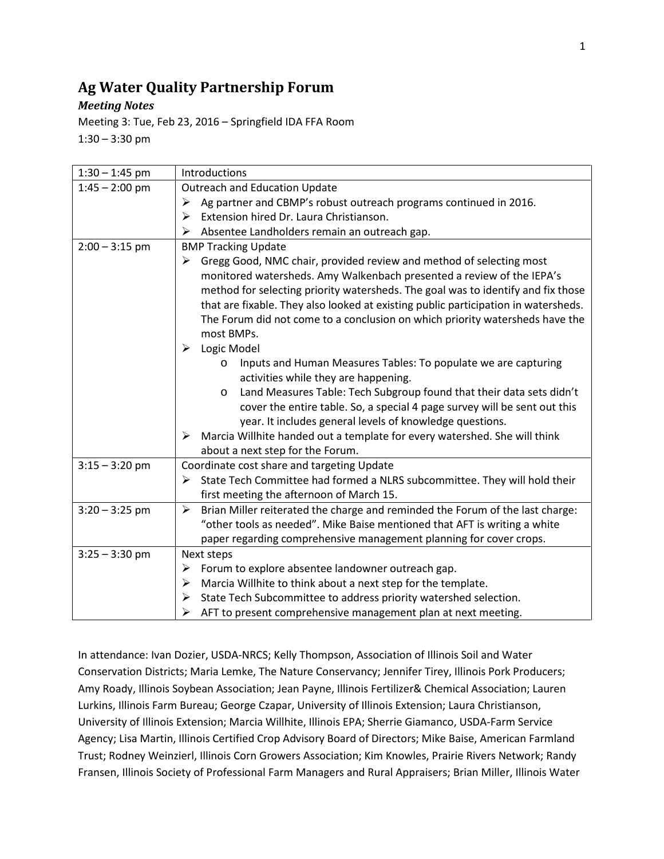# **Ag Water Quality Partnership Forum**

## *Meeting Notes*

Meeting 3: Tue, Feb 23, 2016 – Springfield IDA FFA Room  $1:30 - 3:30$  pm

| $1:30 - 1:45$ pm | Introductions                                                                                          |
|------------------|--------------------------------------------------------------------------------------------------------|
| $1:45 - 2:00$ pm | <b>Outreach and Education Update</b>                                                                   |
|                  | Ag partner and CBMP's robust outreach programs continued in 2016.<br>➤                                 |
|                  | Extension hired Dr. Laura Christianson.<br>➤                                                           |
|                  | Absentee Landholders remain an outreach gap.<br>➤                                                      |
| $2:00 - 3:15$ pm | <b>BMP Tracking Update</b>                                                                             |
|                  | Gregg Good, NMC chair, provided review and method of selecting most<br>➤                               |
|                  | monitored watersheds. Amy Walkenbach presented a review of the IEPA's                                  |
|                  | method for selecting priority watersheds. The goal was to identify and fix those                       |
|                  | that are fixable. They also looked at existing public participation in watersheds.                     |
|                  | The Forum did not come to a conclusion on which priority watersheds have the                           |
|                  | most BMPs.                                                                                             |
|                  | Logic Model<br>➤                                                                                       |
|                  | Inputs and Human Measures Tables: To populate we are capturing<br>$\circ$                              |
|                  | activities while they are happening.                                                                   |
|                  | Land Measures Table: Tech Subgroup found that their data sets didn't<br>O                              |
|                  | cover the entire table. So, a special 4 page survey will be sent out this                              |
|                  | year. It includes general levels of knowledge questions.                                               |
|                  | Marcia Willhite handed out a template for every watershed. She will think<br>➤                         |
|                  | about a next step for the Forum.                                                                       |
| $3:15 - 3:20$ pm | Coordinate cost share and targeting Update                                                             |
|                  | State Tech Committee had formed a NLRS subcommittee. They will hold their<br>➤                         |
|                  | first meeting the afternoon of March 15.                                                               |
| $3:20 - 3:25$ pm | Brian Miller reiterated the charge and reminded the Forum of the last charge:<br>$\blacktriangleright$ |
|                  | "other tools as needed". Mike Baise mentioned that AFT is writing a white                              |
|                  | paper regarding comprehensive management planning for cover crops.                                     |
| $3:25 - 3:30$ pm | Next steps                                                                                             |
|                  | Forum to explore absentee landowner outreach gap.<br>➤                                                 |
|                  | Marcia Willhite to think about a next step for the template.<br>➤                                      |
|                  | State Tech Subcommittee to address priority watershed selection.<br>➤                                  |
|                  | AFT to present comprehensive management plan at next meeting.<br>➤                                     |

In attendance: Ivan Dozier, USDA-NRCS; Kelly Thompson, Association of Illinois Soil and Water Conservation Districts; Maria Lemke, The Nature Conservancy; Jennifer Tirey, Illinois Pork Producers; Amy Roady, Illinois Soybean Association; Jean Payne, Illinois Fertilizer& Chemical Association; Lauren Lurkins, Illinois Farm Bureau; George Czapar, University of Illinois Extension; Laura Christianson, University of Illinois Extension; Marcia Willhite, Illinois EPA; Sherrie Giamanco, USDA-Farm Service Agency; Lisa Martin, Illinois Certified Crop Advisory Board of Directors; Mike Baise, American Farmland Trust; Rodney Weinzierl, Illinois Corn Growers Association; Kim Knowles, Prairie Rivers Network; Randy Fransen, Illinois Society of Professional Farm Managers and Rural Appraisers; Brian Miller, Illinois Water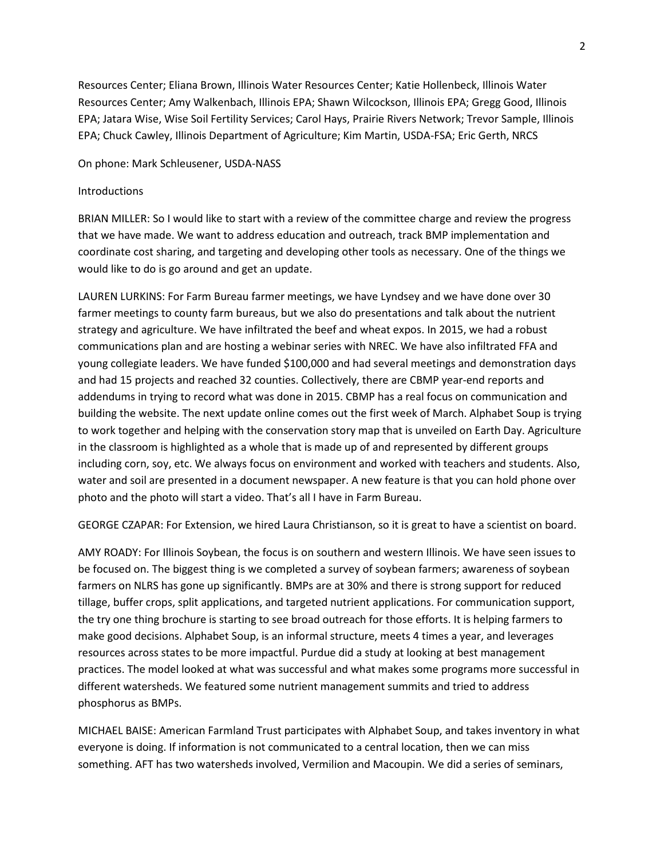Resources Center; Eliana Brown, Illinois Water Resources Center; Katie Hollenbeck, Illinois Water Resources Center; Amy Walkenbach, Illinois EPA; Shawn Wilcockson, Illinois EPA; Gregg Good, Illinois EPA; Jatara Wise, Wise Soil Fertility Services; Carol Hays, Prairie Rivers Network; Trevor Sample, Illinois EPA; Chuck Cawley, Illinois Department of Agriculture; Kim Martin, USDA-FSA; Eric Gerth, NRCS

On phone: Mark Schleusener, USDA-NASS

### **Introductions**

BRIAN MILLER: So I would like to start with a review of the committee charge and review the progress that we have made. We want to address education and outreach, track BMP implementation and coordinate cost sharing, and targeting and developing other tools as necessary. One of the things we would like to do is go around and get an update.

LAUREN LURKINS: For Farm Bureau farmer meetings, we have Lyndsey and we have done over 30 farmer meetings to county farm bureaus, but we also do presentations and talk about the nutrient strategy and agriculture. We have infiltrated the beef and wheat expos. In 2015, we had a robust communications plan and are hosting a webinar series with NREC. We have also infiltrated FFA and young collegiate leaders. We have funded \$100,000 and had several meetings and demonstration days and had 15 projects and reached 32 counties. Collectively, there are CBMP year-end reports and addendums in trying to record what was done in 2015. CBMP has a real focus on communication and building the website. The next update online comes out the first week of March. Alphabet Soup is trying to work together and helping with the conservation story map that is unveiled on Earth Day. Agriculture in the classroom is highlighted as a whole that is made up of and represented by different groups including corn, soy, etc. We always focus on environment and worked with teachers and students. Also, water and soil are presented in a document newspaper. A new feature is that you can hold phone over photo and the photo will start a video. That's all I have in Farm Bureau.

GEORGE CZAPAR: For Extension, we hired Laura Christianson, so it is great to have a scientist on board.

AMY ROADY: For Illinois Soybean, the focus is on southern and western Illinois. We have seen issues to be focused on. The biggest thing is we completed a survey of soybean farmers; awareness of soybean farmers on NLRS has gone up significantly. BMPs are at 30% and there is strong support for reduced tillage, buffer crops, split applications, and targeted nutrient applications. For communication support, the try one thing brochure is starting to see broad outreach for those efforts. It is helping farmers to make good decisions. Alphabet Soup, is an informal structure, meets 4 times a year, and leverages resources across states to be more impactful. Purdue did a study at looking at best management practices. The model looked at what was successful and what makes some programs more successful in different watersheds. We featured some nutrient management summits and tried to address phosphorus as BMPs.

MICHAEL BAISE: American Farmland Trust participates with Alphabet Soup, and takes inventory in what everyone is doing. If information is not communicated to a central location, then we can miss something. AFT has two watersheds involved, Vermilion and Macoupin. We did a series of seminars,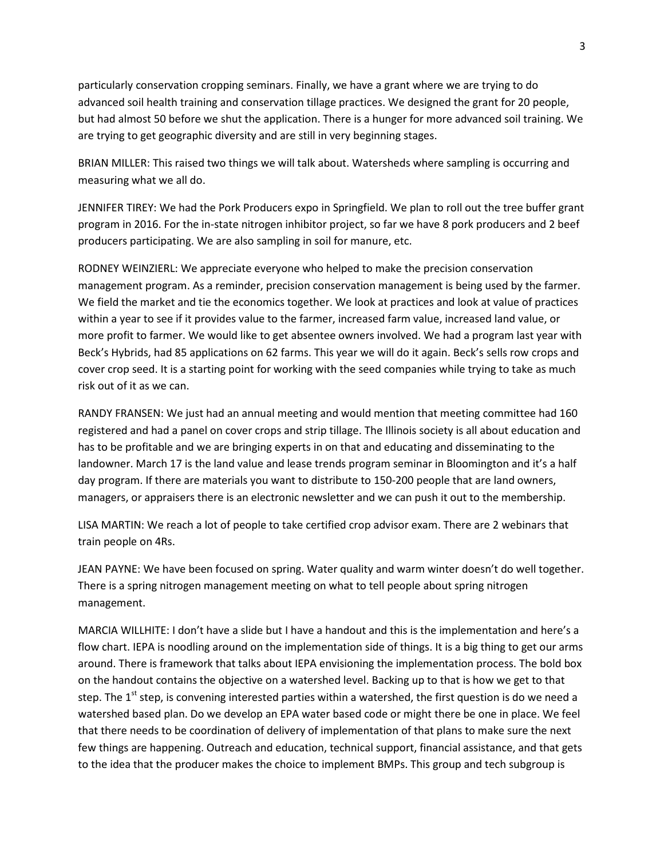particularly conservation cropping seminars. Finally, we have a grant where we are trying to do advanced soil health training and conservation tillage practices. We designed the grant for 20 people, but had almost 50 before we shut the application. There is a hunger for more advanced soil training. We are trying to get geographic diversity and are still in very beginning stages.

BRIAN MILLER: This raised two things we will talk about. Watersheds where sampling is occurring and measuring what we all do.

JENNIFER TIREY: We had the Pork Producers expo in Springfield. We plan to roll out the tree buffer grant program in 2016. For the in-state nitrogen inhibitor project, so far we have 8 pork producers and 2 beef producers participating. We are also sampling in soil for manure, etc.

RODNEY WEINZIERL: We appreciate everyone who helped to make the precision conservation management program. As a reminder, precision conservation management is being used by the farmer. We field the market and tie the economics together. We look at practices and look at value of practices within a year to see if it provides value to the farmer, increased farm value, increased land value, or more profit to farmer. We would like to get absentee owners involved. We had a program last year with Beck's Hybrids, had 85 applications on 62 farms. This year we will do it again. Beck's sells row crops and cover crop seed. It is a starting point for working with the seed companies while trying to take as much risk out of it as we can.

RANDY FRANSEN: We just had an annual meeting and would mention that meeting committee had 160 registered and had a panel on cover crops and strip tillage. The Illinois society is all about education and has to be profitable and we are bringing experts in on that and educating and disseminating to the landowner. March 17 is the land value and lease trends program seminar in Bloomington and it's a half day program. If there are materials you want to distribute to 150-200 people that are land owners, managers, or appraisers there is an electronic newsletter and we can push it out to the membership.

LISA MARTIN: We reach a lot of people to take certified crop advisor exam. There are 2 webinars that train people on 4Rs.

JEAN PAYNE: We have been focused on spring. Water quality and warm winter doesn't do well together. There is a spring nitrogen management meeting on what to tell people about spring nitrogen management.

MARCIA WILLHITE: I don't have a slide but I have a handout and this is the implementation and here's a flow chart. IEPA is noodling around on the implementation side of things. It is a big thing to get our arms around. There is framework that talks about IEPA envisioning the implementation process. The bold box on the handout contains the objective on a watershed level. Backing up to that is how we get to that step. The  $1<sup>st</sup>$  step, is convening interested parties within a watershed, the first question is do we need a watershed based plan. Do we develop an EPA water based code or might there be one in place. We feel that there needs to be coordination of delivery of implementation of that plans to make sure the next few things are happening. Outreach and education, technical support, financial assistance, and that gets to the idea that the producer makes the choice to implement BMPs. This group and tech subgroup is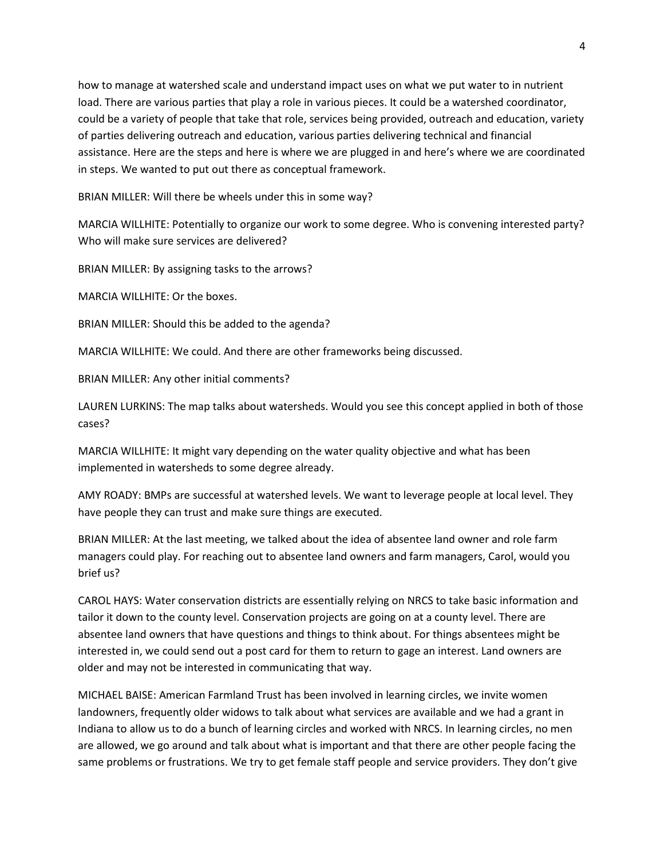how to manage at watershed scale and understand impact uses on what we put water to in nutrient load. There are various parties that play a role in various pieces. It could be a watershed coordinator, could be a variety of people that take that role, services being provided, outreach and education, variety of parties delivering outreach and education, various parties delivering technical and financial assistance. Here are the steps and here is where we are plugged in and here's where we are coordinated in steps. We wanted to put out there as conceptual framework.

BRIAN MILLER: Will there be wheels under this in some way?

MARCIA WILLHITE: Potentially to organize our work to some degree. Who is convening interested party? Who will make sure services are delivered?

BRIAN MILLER: By assigning tasks to the arrows?

MARCIA WILLHITE: Or the boxes.

BRIAN MILLER: Should this be added to the agenda?

MARCIA WILLHITE: We could. And there are other frameworks being discussed.

BRIAN MILLER: Any other initial comments?

LAUREN LURKINS: The map talks about watersheds. Would you see this concept applied in both of those cases?

MARCIA WILLHITE: It might vary depending on the water quality objective and what has been implemented in watersheds to some degree already.

AMY ROADY: BMPs are successful at watershed levels. We want to leverage people at local level. They have people they can trust and make sure things are executed.

BRIAN MILLER: At the last meeting, we talked about the idea of absentee land owner and role farm managers could play. For reaching out to absentee land owners and farm managers, Carol, would you brief us?

CAROL HAYS: Water conservation districts are essentially relying on NRCS to take basic information and tailor it down to the county level. Conservation projects are going on at a county level. There are absentee land owners that have questions and things to think about. For things absentees might be interested in, we could send out a post card for them to return to gage an interest. Land owners are older and may not be interested in communicating that way.

MICHAEL BAISE: American Farmland Trust has been involved in learning circles, we invite women landowners, frequently older widows to talk about what services are available and we had a grant in Indiana to allow us to do a bunch of learning circles and worked with NRCS. In learning circles, no men are allowed, we go around and talk about what is important and that there are other people facing the same problems or frustrations. We try to get female staff people and service providers. They don't give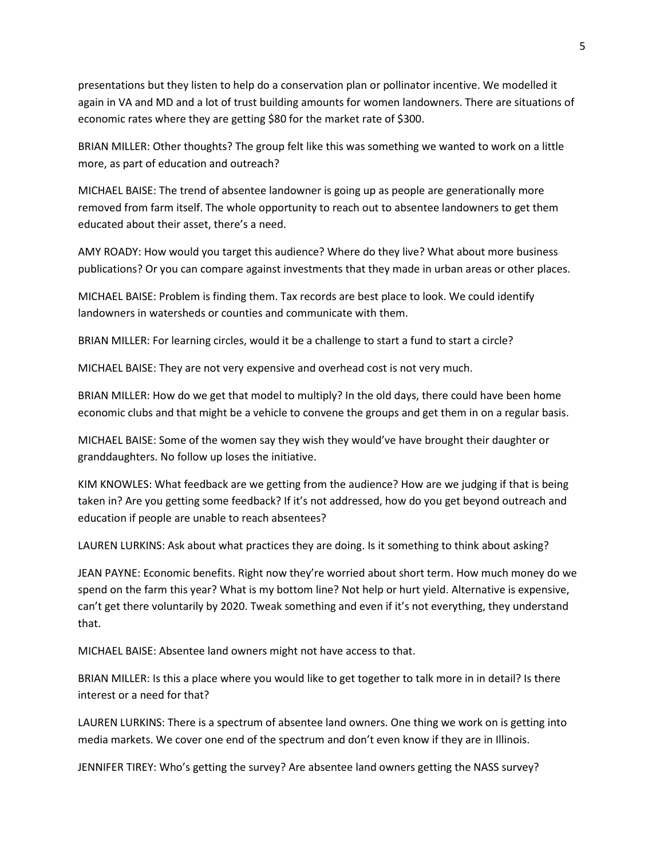presentations but they listen to help do a conservation plan or pollinator incentive. We modelled it again in VA and MD and a lot of trust building amounts for women landowners. There are situations of economic rates where they are getting \$80 for the market rate of \$300.

BRIAN MILLER: Other thoughts? The group felt like this was something we wanted to work on a little more, as part of education and outreach?

MICHAEL BAISE: The trend of absentee landowner is going up as people are generationally more removed from farm itself. The whole opportunity to reach out to absentee landowners to get them educated about their asset, there's a need.

AMY ROADY: How would you target this audience? Where do they live? What about more business publications? Or you can compare against investments that they made in urban areas or other places.

MICHAEL BAISE: Problem is finding them. Tax records are best place to look. We could identify landowners in watersheds or counties and communicate with them.

BRIAN MILLER: For learning circles, would it be a challenge to start a fund to start a circle?

MICHAEL BAISE: They are not very expensive and overhead cost is not very much.

BRIAN MILLER: How do we get that model to multiply? In the old days, there could have been home economic clubs and that might be a vehicle to convene the groups and get them in on a regular basis.

MICHAEL BAISE: Some of the women say they wish they would've have brought their daughter or granddaughters. No follow up loses the initiative.

KIM KNOWLES: What feedback are we getting from the audience? How are we judging if that is being taken in? Are you getting some feedback? If it's not addressed, how do you get beyond outreach and education if people are unable to reach absentees?

LAUREN LURKINS: Ask about what practices they are doing. Is it something to think about asking?

JEAN PAYNE: Economic benefits. Right now they're worried about short term. How much money do we spend on the farm this year? What is my bottom line? Not help or hurt yield. Alternative is expensive, can't get there voluntarily by 2020. Tweak something and even if it's not everything, they understand that.

MICHAEL BAISE: Absentee land owners might not have access to that.

BRIAN MILLER: Is this a place where you would like to get together to talk more in in detail? Is there interest or a need for that?

LAUREN LURKINS: There is a spectrum of absentee land owners. One thing we work on is getting into media markets. We cover one end of the spectrum and don't even know if they are in Illinois.

JENNIFER TIREY: Who's getting the survey? Are absentee land owners getting the NASS survey?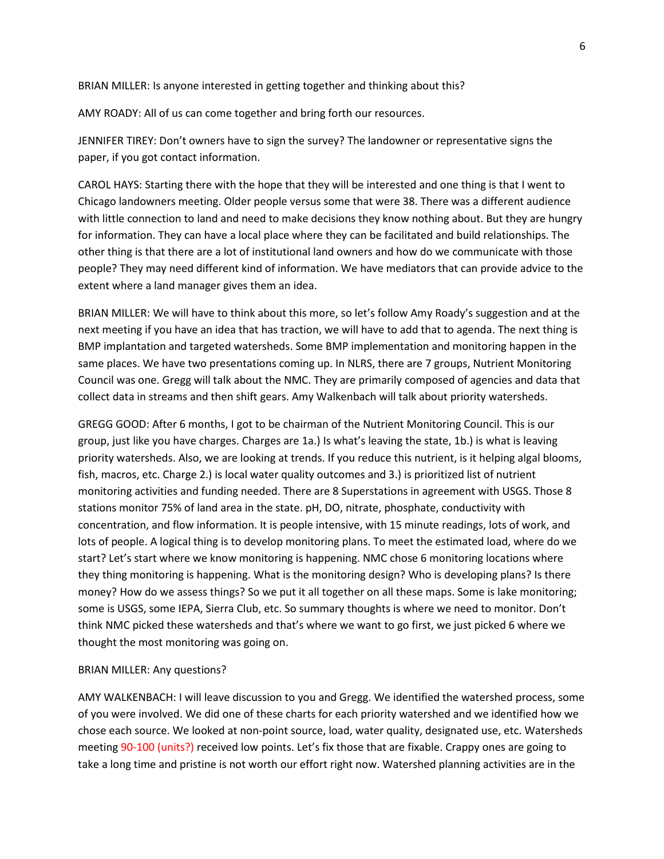BRIAN MILLER: Is anyone interested in getting together and thinking about this?

AMY ROADY: All of us can come together and bring forth our resources.

JENNIFER TIREY: Don't owners have to sign the survey? The landowner or representative signs the paper, if you got contact information.

CAROL HAYS: Starting there with the hope that they will be interested and one thing is that I went to Chicago landowners meeting. Older people versus some that were 38. There was a different audience with little connection to land and need to make decisions they know nothing about. But they are hungry for information. They can have a local place where they can be facilitated and build relationships. The other thing is that there are a lot of institutional land owners and how do we communicate with those people? They may need different kind of information. We have mediators that can provide advice to the extent where a land manager gives them an idea.

BRIAN MILLER: We will have to think about this more, so let's follow Amy Roady's suggestion and at the next meeting if you have an idea that has traction, we will have to add that to agenda. The next thing is BMP implantation and targeted watersheds. Some BMP implementation and monitoring happen in the same places. We have two presentations coming up. In NLRS, there are 7 groups, Nutrient Monitoring Council was one. Gregg will talk about the NMC. They are primarily composed of agencies and data that collect data in streams and then shift gears. Amy Walkenbach will talk about priority watersheds.

GREGG GOOD: After 6 months, I got to be chairman of the Nutrient Monitoring Council. This is our group, just like you have charges. Charges are 1a.) Is what's leaving the state, 1b.) is what is leaving priority watersheds. Also, we are looking at trends. If you reduce this nutrient, is it helping algal blooms, fish, macros, etc. Charge 2.) is local water quality outcomes and 3.) is prioritized list of nutrient monitoring activities and funding needed. There are 8 Superstations in agreement with USGS. Those 8 stations monitor 75% of land area in the state. pH, DO, nitrate, phosphate, conductivity with concentration, and flow information. It is people intensive, with 15 minute readings, lots of work, and lots of people. A logical thing is to develop monitoring plans. To meet the estimated load, where do we start? Let's start where we know monitoring is happening. NMC chose 6 monitoring locations where they thing monitoring is happening. What is the monitoring design? Who is developing plans? Is there money? How do we assess things? So we put it all together on all these maps. Some is lake monitoring; some is USGS, some IEPA, Sierra Club, etc. So summary thoughts is where we need to monitor. Don't think NMC picked these watersheds and that's where we want to go first, we just picked 6 where we thought the most monitoring was going on.

#### BRIAN MILLER: Any questions?

AMY WALKENBACH: I will leave discussion to you and Gregg. We identified the watershed process, some of you were involved. We did one of these charts for each priority watershed and we identified how we chose each source. We looked at non-point source, load, water quality, designated use, etc. Watersheds meeting 90-100 (units?) received low points. Let's fix those that are fixable. Crappy ones are going to take a long time and pristine is not worth our effort right now. Watershed planning activities are in the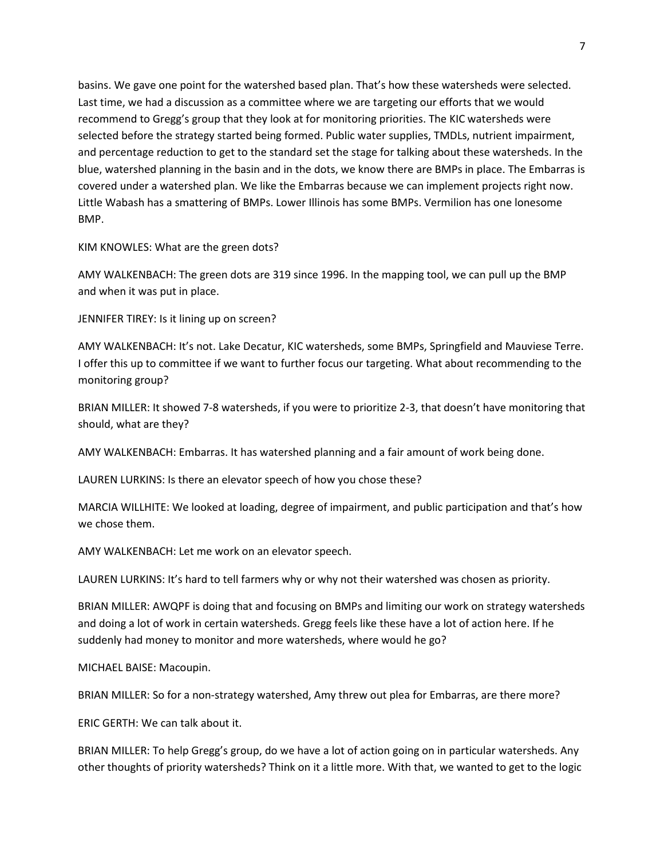basins. We gave one point for the watershed based plan. That's how these watersheds were selected. Last time, we had a discussion as a committee where we are targeting our efforts that we would recommend to Gregg's group that they look at for monitoring priorities. The KIC watersheds were selected before the strategy started being formed. Public water supplies, TMDLs, nutrient impairment, and percentage reduction to get to the standard set the stage for talking about these watersheds. In the blue, watershed planning in the basin and in the dots, we know there are BMPs in place. The Embarras is covered under a watershed plan. We like the Embarras because we can implement projects right now. Little Wabash has a smattering of BMPs. Lower Illinois has some BMPs. Vermilion has one lonesome BMP.

KIM KNOWLES: What are the green dots?

AMY WALKENBACH: The green dots are 319 since 1996. In the mapping tool, we can pull up the BMP and when it was put in place.

JENNIFER TIREY: Is it lining up on screen?

AMY WALKENBACH: It's not. Lake Decatur, KIC watersheds, some BMPs, Springfield and Mauviese Terre. I offer this up to committee if we want to further focus our targeting. What about recommending to the monitoring group?

BRIAN MILLER: It showed 7-8 watersheds, if you were to prioritize 2-3, that doesn't have monitoring that should, what are they?

AMY WALKENBACH: Embarras. It has watershed planning and a fair amount of work being done.

LAUREN LURKINS: Is there an elevator speech of how you chose these?

MARCIA WILLHITE: We looked at loading, degree of impairment, and public participation and that's how we chose them.

AMY WALKENBACH: Let me work on an elevator speech.

LAUREN LURKINS: It's hard to tell farmers why or why not their watershed was chosen as priority.

BRIAN MILLER: AWQPF is doing that and focusing on BMPs and limiting our work on strategy watersheds and doing a lot of work in certain watersheds. Gregg feels like these have a lot of action here. If he suddenly had money to monitor and more watersheds, where would he go?

MICHAEL BAISE: Macoupin.

BRIAN MILLER: So for a non-strategy watershed, Amy threw out plea for Embarras, are there more?

ERIC GERTH: We can talk about it.

BRIAN MILLER: To help Gregg's group, do we have a lot of action going on in particular watersheds. Any other thoughts of priority watersheds? Think on it a little more. With that, we wanted to get to the logic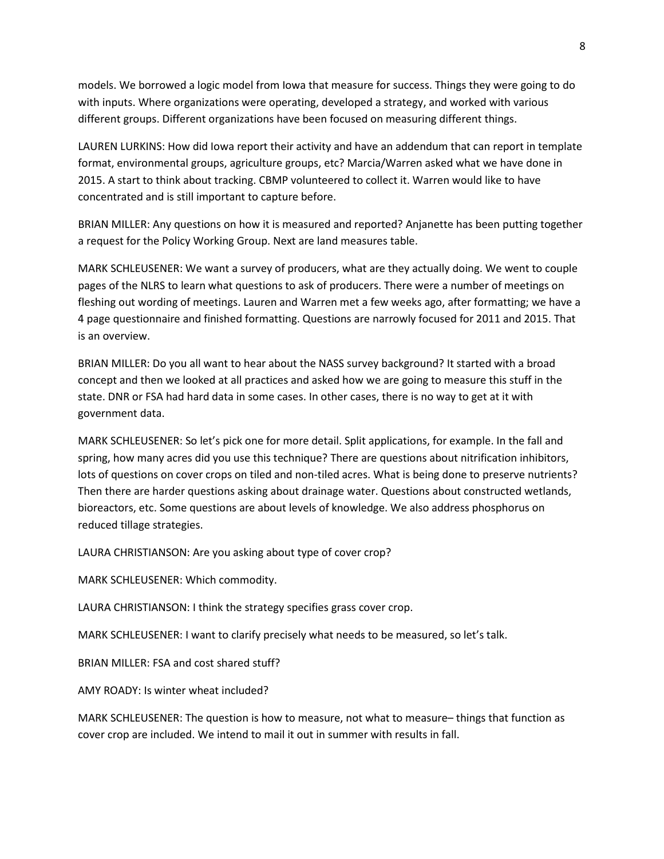models. We borrowed a logic model from Iowa that measure for success. Things they were going to do with inputs. Where organizations were operating, developed a strategy, and worked with various different groups. Different organizations have been focused on measuring different things.

LAUREN LURKINS: How did Iowa report their activity and have an addendum that can report in template format, environmental groups, agriculture groups, etc? Marcia/Warren asked what we have done in 2015. A start to think about tracking. CBMP volunteered to collect it. Warren would like to have concentrated and is still important to capture before.

BRIAN MILLER: Any questions on how it is measured and reported? Anjanette has been putting together a request for the Policy Working Group. Next are land measures table.

MARK SCHLEUSENER: We want a survey of producers, what are they actually doing. We went to couple pages of the NLRS to learn what questions to ask of producers. There were a number of meetings on fleshing out wording of meetings. Lauren and Warren met a few weeks ago, after formatting; we have a 4 page questionnaire and finished formatting. Questions are narrowly focused for 2011 and 2015. That is an overview.

BRIAN MILLER: Do you all want to hear about the NASS survey background? It started with a broad concept and then we looked at all practices and asked how we are going to measure this stuff in the state. DNR or FSA had hard data in some cases. In other cases, there is no way to get at it with government data.

MARK SCHLEUSENER: So let's pick one for more detail. Split applications, for example. In the fall and spring, how many acres did you use this technique? There are questions about nitrification inhibitors, lots of questions on cover crops on tiled and non-tiled acres. What is being done to preserve nutrients? Then there are harder questions asking about drainage water. Questions about constructed wetlands, bioreactors, etc. Some questions are about levels of knowledge. We also address phosphorus on reduced tillage strategies.

LAURA CHRISTIANSON: Are you asking about type of cover crop?

MARK SCHLEUSENER: Which commodity.

LAURA CHRISTIANSON: I think the strategy specifies grass cover crop.

MARK SCHLEUSENER: I want to clarify precisely what needs to be measured, so let's talk.

BRIAN MILLER: FSA and cost shared stuff?

AMY ROADY: Is winter wheat included?

MARK SCHLEUSENER: The question is how to measure, not what to measure– things that function as cover crop are included. We intend to mail it out in summer with results in fall.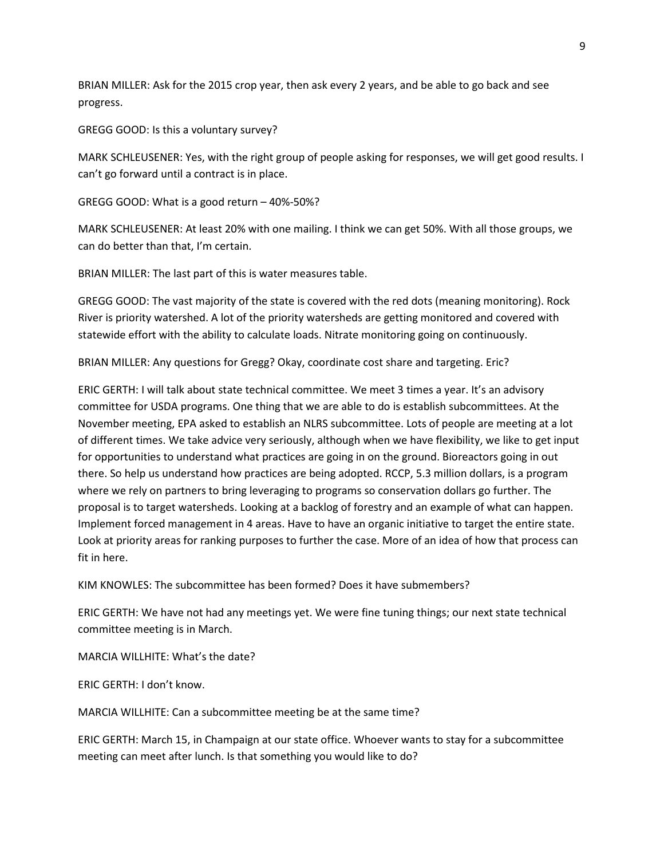BRIAN MILLER: Ask for the 2015 crop year, then ask every 2 years, and be able to go back and see progress.

GREGG GOOD: Is this a voluntary survey?

MARK SCHLEUSENER: Yes, with the right group of people asking for responses, we will get good results. I can't go forward until a contract is in place.

GREGG GOOD: What is a good return – 40%-50%?

MARK SCHLEUSENER: At least 20% with one mailing. I think we can get 50%. With all those groups, we can do better than that, I'm certain.

BRIAN MILLER: The last part of this is water measures table.

GREGG GOOD: The vast majority of the state is covered with the red dots (meaning monitoring). Rock River is priority watershed. A lot of the priority watersheds are getting monitored and covered with statewide effort with the ability to calculate loads. Nitrate monitoring going on continuously.

BRIAN MILLER: Any questions for Gregg? Okay, coordinate cost share and targeting. Eric?

ERIC GERTH: I will talk about state technical committee. We meet 3 times a year. It's an advisory committee for USDA programs. One thing that we are able to do is establish subcommittees. At the November meeting, EPA asked to establish an NLRS subcommittee. Lots of people are meeting at a lot of different times. We take advice very seriously, although when we have flexibility, we like to get input for opportunities to understand what practices are going in on the ground. Bioreactors going in out there. So help us understand how practices are being adopted. RCCP, 5.3 million dollars, is a program where we rely on partners to bring leveraging to programs so conservation dollars go further. The proposal is to target watersheds. Looking at a backlog of forestry and an example of what can happen. Implement forced management in 4 areas. Have to have an organic initiative to target the entire state. Look at priority areas for ranking purposes to further the case. More of an idea of how that process can fit in here.

KIM KNOWLES: The subcommittee has been formed? Does it have submembers?

ERIC GERTH: We have not had any meetings yet. We were fine tuning things; our next state technical committee meeting is in March.

MARCIA WILLHITE: What's the date?

ERIC GERTH: I don't know.

MARCIA WILLHITE: Can a subcommittee meeting be at the same time?

ERIC GERTH: March 15, in Champaign at our state office. Whoever wants to stay for a subcommittee meeting can meet after lunch. Is that something you would like to do?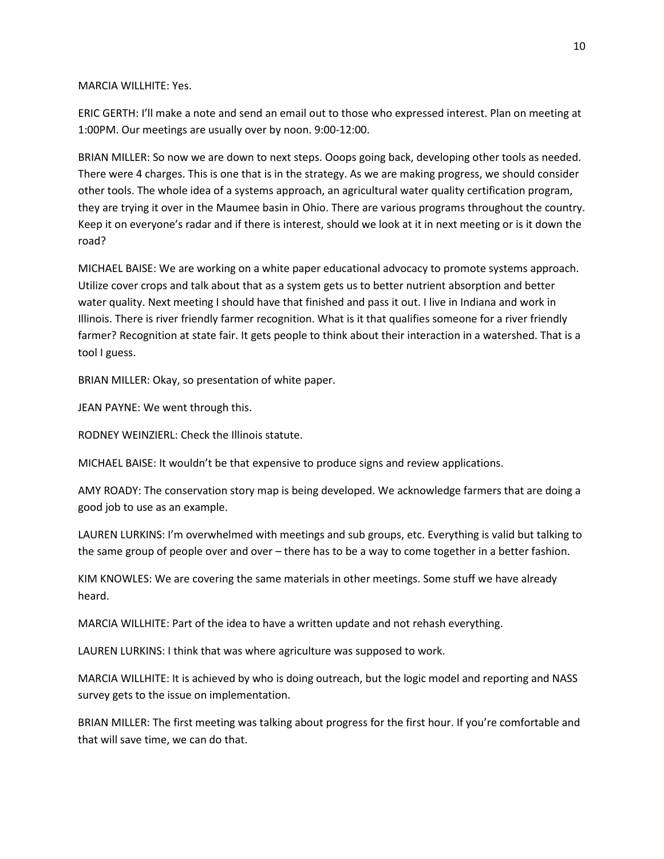#### MARCIA WILLHITE: Yes.

ERIC GERTH: I'll make a note and send an email out to those who expressed interest. Plan on meeting at 1:00PM. Our meetings are usually over by noon. 9:00-12:00.

BRIAN MILLER: So now we are down to next steps. Ooops going back, developing other tools as needed. There were 4 charges. This is one that is in the strategy. As we are making progress, we should consider other tools. The whole idea of a systems approach, an agricultural water quality certification program, they are trying it over in the Maumee basin in Ohio. There are various programs throughout the country. Keep it on everyone's radar and if there is interest, should we look at it in next meeting or is it down the road?

MICHAEL BAISE: We are working on a white paper educational advocacy to promote systems approach. Utilize cover crops and talk about that as a system gets us to better nutrient absorption and better water quality. Next meeting I should have that finished and pass it out. I live in Indiana and work in Illinois. There is river friendly farmer recognition. What is it that qualifies someone for a river friendly farmer? Recognition at state fair. It gets people to think about their interaction in a watershed. That is a tool I guess.

BRIAN MILLER: Okay, so presentation of white paper.

JEAN PAYNE: We went through this.

RODNEY WEINZIERL: Check the Illinois statute.

MICHAEL BAISE: It wouldn't be that expensive to produce signs and review applications.

AMY ROADY: The conservation story map is being developed. We acknowledge farmers that are doing a good job to use as an example.

LAUREN LURKINS: I'm overwhelmed with meetings and sub groups, etc. Everything is valid but talking to the same group of people over and over – there has to be a way to come together in a better fashion.

KIM KNOWLES: We are covering the same materials in other meetings. Some stuff we have already heard.

MARCIA WILLHITE: Part of the idea to have a written update and not rehash everything.

LAUREN LURKINS: I think that was where agriculture was supposed to work.

MARCIA WILLHITE: It is achieved by who is doing outreach, but the logic model and reporting and NASS survey gets to the issue on implementation.

BRIAN MILLER: The first meeting was talking about progress for the first hour. If you're comfortable and that will save time, we can do that.